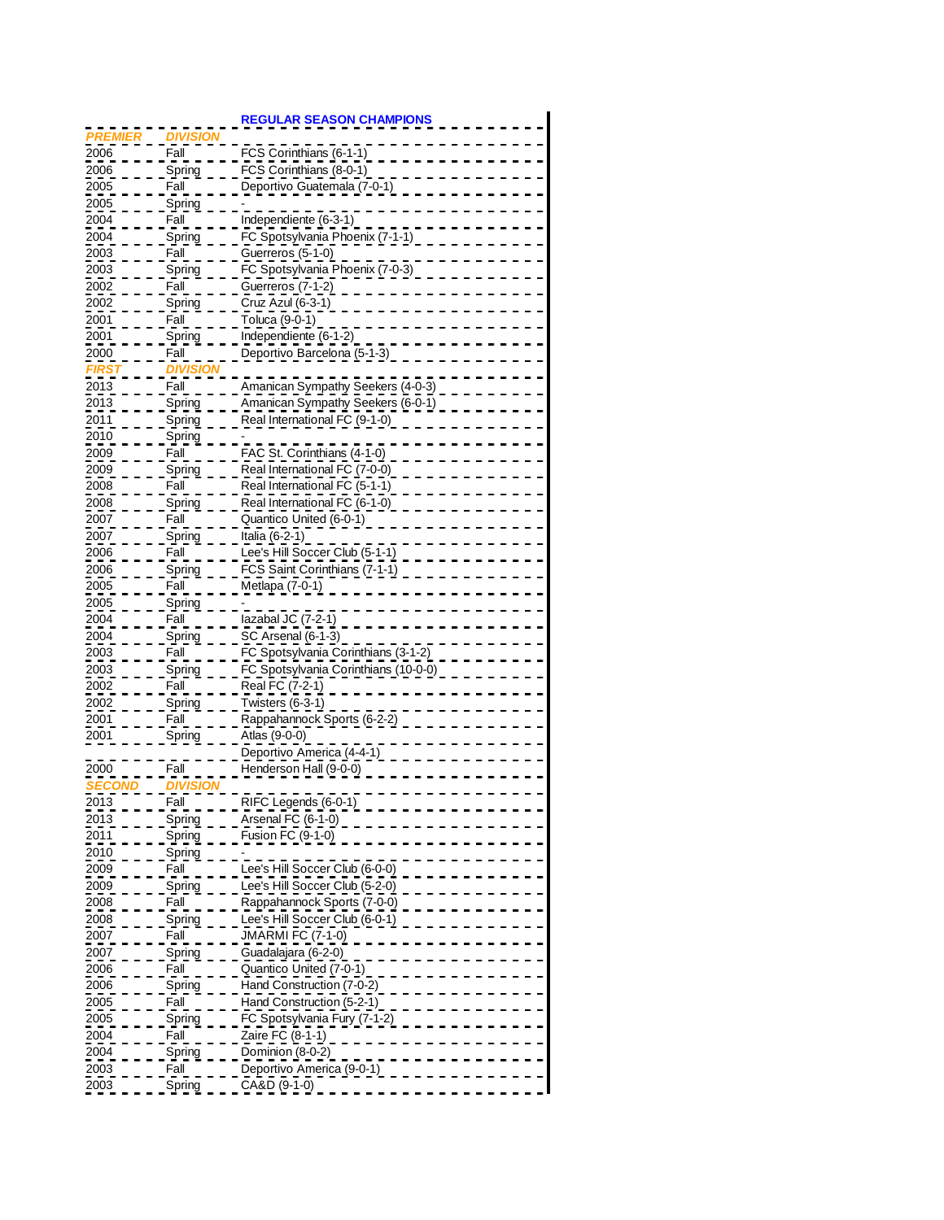|                   |                 | <b>REGULAR SEASON CHAMPIONS</b>        |
|-------------------|-----------------|----------------------------------------|
| <b>PREMIER</b>    | <b>DIVISIOI</b> |                                        |
| 2006              | Fall            | FCS Corinthians (6-1-1)                |
| 2006              | Spring          | FCS Corinthians (8-0-1)                |
| 2005              | Fall            | Deportivo Guatemala (7-0-1)            |
| 2005              |                 |                                        |
|                   | Spring          |                                        |
| 2004              | Fall            | Independiente (6-3-1)                  |
| 2004              | <u>Spring</u>   | FC Spotsylvania Phoenix (7-1-1)        |
| 2003              | Fall            | Guerreros (5-1-0)                      |
| 2003              | Spring          | FC Spotsylvania Phoenix (7-0-3)        |
| 2002              | Fall            | Guerreros (7-1-2)                      |
| 2002              | Spring          | Cruz Azul (6-3-1)                      |
| 2001              | Fall            | Toluca (9-0-1)                         |
| 2001              | Spring          | Independiente (6-1-2)                  |
| 2000              | Fall            | Deportivo Barcelona (5-1-3)            |
|                   | <b>DIVISI</b>   |                                        |
| 168               |                 |                                        |
| $\overline{2013}$ | Fall            | Amanican Sympathy Seekers (4-0-3)      |
| 2013              | Spring          | Amanican Sympathy Seekers (6-0-1)      |
| 2011              | Spring          | Real International FC (9-1-0)          |
| 2010              | Spring          |                                        |
| 2009              | Fall            | FAC St. Corinthians (4-1-0)            |
| 2009              | Spring          | Real International FC (7-0-0)          |
| 2008              | Fall            | Real International FC (5-1-1)          |
| 2008              | Spring          | Real International FC (6-1-0)          |
| 2007              | Fall            | Quantico United (6-0-1)                |
| 2007              | Spring          | Italia (6-2-1)                         |
| 2006              | Fall            | Lee's Hill Soccer Club (5-1-1)         |
|                   |                 |                                        |
| 2006              | <u>Spring</u>   | FCS Saint Corinthians (7-1-1)          |
| 2005              | Fall            | Metlapa (7-0-1)                        |
| 2005              | Spring          |                                        |
| 2004              | Fall            | lazabal JC (7-2-1)                     |
| 2004              | Spring          | SC Arsenal (6-1-3)                     |
| 2003              | Fall            | FC Spotsylvania Corinthians (3-1-2)    |
| 2003              | Spring          | FC Spotsylvania Corinthians (10-0-0)   |
| 2002              | Fall            | Real FC (7-2-1)                        |
| 2002              | <u>Spring</u>   | Twisters (6-3-1)                       |
| 2001              | Fall            | Rappahannock Sports (6-2-2)            |
| 2001              | Spring          | Atlas (9-0-0)                          |
|                   |                 | Deportivo America (4-4-1)              |
|                   |                 |                                        |
| 2000              | Fall            | Henderson Hall (9-0-0)                 |
| <u>SECO</u>       | DIVISI          |                                        |
| 2013              | Fall            | RIFC Legends (6-0-1)                   |
| 2013              | <u>Spring</u>   | Arsenal FC (6-1-0)                     |
| 2011              | Spring          | Fusion FC (9-1-0)                      |
| 2010              | <u>Spring</u>   |                                        |
| 2009              | Fall            | Lee's Hill Soccer Club (6-0-0)         |
| 2009              | Spring          | Lee's Hill Soccer Club (5-2-0)         |
| 2008              | Fall            | Rappahannock Sports (7-0-0)            |
| 2008              | Spring          | <u> Lee's Hill Soccer Club (6-0-1)</u> |
| 2007              | Fall            | JMARMI FC (7-1-0)                      |
|                   |                 |                                        |
| 2007              | Spring          | Guadalajara (6-2-0)                    |
| 2006              | Fall            | Quantico United (7-0-1)                |
| 2006              | Spring          | Hand Construction (7-0-2)              |
| 2005              | Fall            | Hand Construction (5-2-1)              |
| 2005              | <u>Spring</u>   | FC Spotsylvania Fury (7-1-2            |
| 2004              | Fall            | Zaire FC (8-1-1)                       |
| 2004              | <u>Spring</u>   | Dominion (8-0-2)                       |
| 2003              | Fall            | Deportivo America (9-0-1)              |
| 2003              | Spring          | CA&D (9-1-0)                           |
|                   |                 |                                        |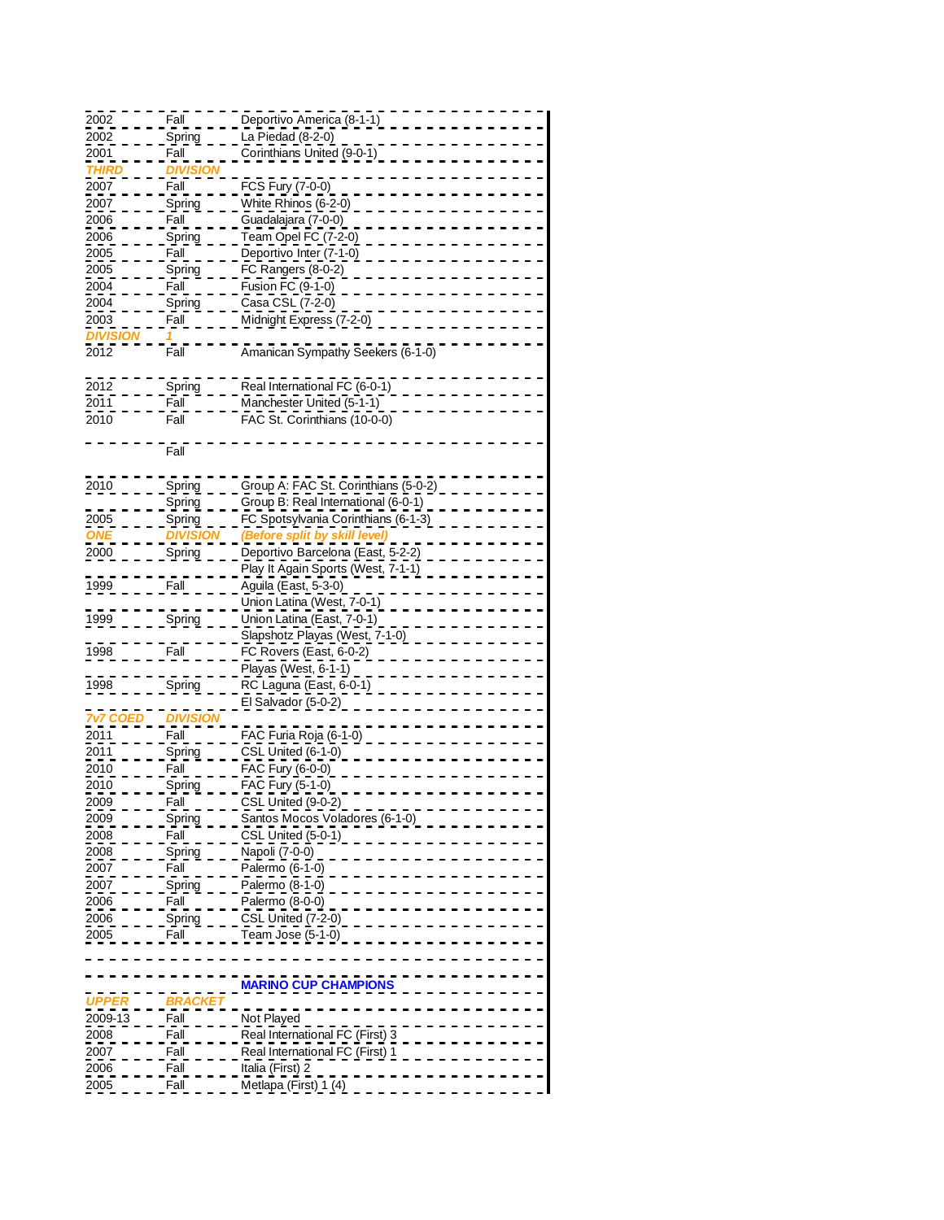| 2002               | Fall            | Deportivo America (8-1-1)            |
|--------------------|-----------------|--------------------------------------|
| 2002               |                 | La Piedad (8-2-0)                    |
|                    | <u>Spring</u>   |                                      |
| 2001               | Fall            | Corinthians United (9-0-1)           |
| <b>THIRL</b>       | <b>DIVISI</b>   |                                      |
| 2007               | Fall            | FCS Fury (7-0-0)                     |
|                    |                 | White Rhinos (6-2-0)                 |
| 2007               | Spring          |                                      |
| 2006               | Fall            | Guadalajara (7-0-0)                  |
| 2006               | <u>Spring</u>   | Team Opel FC (7-2-0)                 |
|                    | Fall            | Deportivo Inter (7-1-0)              |
| 2005               |                 |                                      |
| 2005               | Spring          | FC Rangers (8-0-2)                   |
| 2004               | Fall            | Fusion FC (9-1-0)                    |
| 2004               | <u>Spring</u>   | Casa CSL (7-2-0)                     |
|                    |                 |                                      |
| 2003               | Fall            | Midnight Express (7-2-0)             |
| <u>DIVIS</u>       |                 |                                      |
| 2012               | Fall            | Amanican Sympathy Seekers (6-1-0)    |
|                    |                 |                                      |
|                    |                 |                                      |
| 2012               | Spring          | Real International FC (6-0-1)        |
| 2011               | Fall            | Manchester United (5-1-1)            |
| 2010               | Fall            | FAC St. Corinthians (10-0-0)         |
|                    |                 |                                      |
|                    |                 |                                      |
|                    | Fall            |                                      |
|                    |                 |                                      |
| 2010               | <b>Spring</b>   | Group A: FAC St. Corinthians (5-0-2) |
|                    |                 |                                      |
|                    | Spring          | Group B: Real International (6-0-1)  |
| 2005               | Spring          | FC Spotsylvania Corinthians (6-1-3)  |
|                    | <b>DIVISIC</b>  | (Before split by skill               |
| 2000               |                 | Deportivo Barcelona (East, 5-2-2)    |
|                    | <b>Spring</b>   |                                      |
|                    |                 | Play It Again Sports (West, 7-1-1)   |
|                    |                 |                                      |
|                    | Fall            |                                      |
| 1999               |                 | Aguila (East, 5-3-0)                 |
|                    |                 | Union Latina (West, 7-0-1)           |
| 1999               | Spring          | Union Latina (East, 7-0-1)           |
|                    |                 | Slapshotz Playas (West, 7-1-0)       |
|                    |                 |                                      |
| 1998               | Fall            | FC Rovers (East, 6-0-2)              |
|                    |                 | Playas (West, 6-1-1)                 |
| 1998               | Spring          | RC Laguna (East, 6-0-1)              |
|                    |                 |                                      |
|                    |                 | El Salvador (5-0-2)                  |
| <b>7v7 COED</b>    | <b>DIVISION</b> |                                      |
| 2011               | Fall            | FAC Furia Roja (6-1-0)               |
| 2011               | Spring          | CSL United (6-1-0)                   |
|                    |                 |                                      |
| 2010               | Fall            | FAC Fury (6-0-0)                     |
| 2010               | Spring          | FAC Fury (5-1-0)                     |
| 2009               | Fall            | CSL United (9-0-2)                   |
| 2009               | Spring          | Santos Mocos Voladores (6-1-0)       |
| 2008               | Fall            | CSL United (5-0-1)                   |
|                    |                 |                                      |
| 2008               | Spring          | Napoli (7-0-0)                       |
| 2007               | Fall            | Palermo (6-1-0)                      |
| 2007               | <u>Spring</u>   | Palermo (8-1-0)                      |
|                    | Fall            |                                      |
| 2006               |                 | Palermo (8-0-0)                      |
| 2006               | <b>Spring</b>   | CSL United (7-2-0)                   |
| 2005               | Fall            | Team Jose (5-1-0)                    |
|                    |                 |                                      |
|                    |                 |                                      |
|                    |                 |                                      |
|                    |                 | <b>MARINO CUP CHAMPIONS</b>          |
| <i><b>JPPE</b></i> |                 |                                      |
| 2009-13            | Fall            | Not Played                           |
|                    |                 |                                      |
| <u>2008 </u>       | Fall            | Real International FC (First) 3      |
| 2007               | Fall            | Real International FC (First) 1      |
| 2006               | Fall            | Italia (First) 2                     |
| 2005               | Fall            | Metlapa (First) 1 (4)                |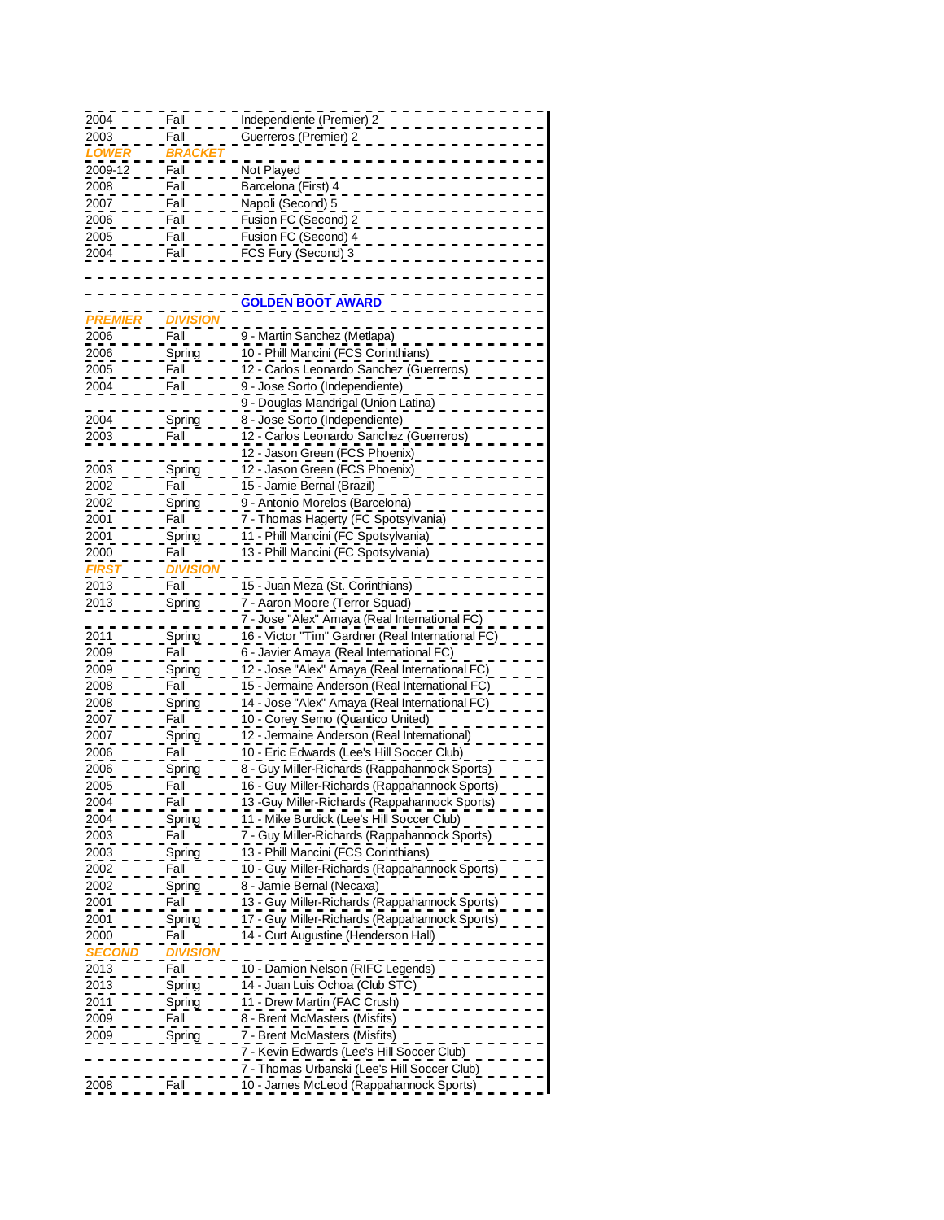| 2004          | Fall            | Independiente (Premier) 2                         |
|---------------|-----------------|---------------------------------------------------|
|               |                 |                                                   |
| 2003          | Fall            | Guerreros (Premier) 2                             |
| LOWE          | <b>BRA</b>      |                                                   |
|               |                 |                                                   |
| 2009-12       | Fall            | Not Played                                        |
| 2008          | Fall            | Barcelona (First) 4                               |
|               |                 |                                                   |
| 2007          | Fall            | Napoli (Second) 5                                 |
| 2006          | Fall            | Fusion FC (Second) 2                              |
|               |                 |                                                   |
| 2005          | Fall            | Fusion FC (Second) 4                              |
| 2004          | Fall            | FCS Fury (Second) 3                               |
|               |                 |                                                   |
|               |                 |                                                   |
|               |                 |                                                   |
|               |                 | GOLDEN BOOT AWARD                                 |
|               |                 |                                                   |
| <b>PREMIE</b> | אוע             |                                                   |
| 2006          | Fall            | 9 - Martin Sanchez (Metlapa)                      |
|               |                 |                                                   |
| 2006          | <u>Spring</u>   | 10 - Phill Mancini (FCS Corinthians)              |
| 2005          | Fall            | 12 - Carlos Leonardo Sanchez (Guerreros)          |
|               |                 |                                                   |
| 2004          | Fall            | 9 - Jose Sorto (Independiente)                    |
|               |                 | 9 - Douglas Mandrigal (Union Latina)              |
|               |                 |                                                   |
| 2004          | <b>Spring</b>   | 8 - Jose Sorto (Independiente)                    |
| 2003          | Fall            | 12 - Carlos Leonardo Sanchez (Guerreros)          |
|               |                 |                                                   |
|               |                 | 12 - Jason Green (FCS Phoenix)                    |
| 2003          | <u>Spring</u>   | 12 - Jason Green (FCS Phoenix)                    |
|               |                 |                                                   |
| 2002          | Fall            | 15 - Jamie Bernal (Brazil)                        |
| 2002          | Spring          | 9 - Antonio Morelos (Barcelona)                   |
|               |                 |                                                   |
| 2001          | Fall            | 7 - Thomas Hagerty (FC Spotsylvania)              |
| 2001          | Spring          | 11 - Phill Mancini (FC Spotsylvania)              |
| 2000          | Fall            | 13 - Phill Mancini (FC Spotsylvania)              |
|               |                 |                                                   |
| <b>FIRS</b>   | <b>DIVISION</b> |                                                   |
| 2013          | Fall            | 15 - Juan Meza (St. Corinthians)                  |
|               |                 |                                                   |
| 2013          | <b>Spring</b>   | 7 - Aaron Moore (Terror Squad)                    |
|               |                 | 7 - Jose "Alex" Amaya (Real International FC)     |
|               |                 |                                                   |
| 2011          | Spring          | 16 - Victor "Tim" Gardner (Real International FC) |
| 2009          | Fall            | 6 - Javier Amaya (Real International FC)          |
|               |                 |                                                   |
| 2009          | <u>Spring</u>   | 12 - Jose "Alex" Amaya (Real International FC)    |
| 2008          | Fall            | 15 - Jermaine Anderson (Real International FC)    |
|               |                 |                                                   |
| 2008          | <b>Spring</b>   | 14 - Jose "Alex" Amaya (Real International FC     |
| 2007          | Fall            | 10 - Corey Semo (Quantico United)                 |
|               |                 | 12 - Jermaine Anderson (Real International)       |
| 2007          | Spring          |                                                   |
| 2006          | Fall            | 10 - Eric Edwards (Lee's Hill Soccer Club)        |
| 2006          |                 | 8 - Guy Miller-Richards (Rappahannock Sports)     |
|               | <b>Spring</b>   |                                                   |
| 2005          | Fall            | 16 - Guy Miller-Richards (Rappahannock Sports)    |
| 2004          | Fall            | 13 - Guy Miller-Richards (Rappahannock Sports)    |
|               |                 |                                                   |
| 2004          | Spring          | 11 - Mike Burdick (Lee's Hill Soccer Club)        |
| 2003          | Fall            | 7 - Guy Miller-Richards (Rappahannock Sports)     |
|               |                 |                                                   |
| 2003          | Spring          | 13 - Phill Mancini (FCS Corinthians)              |
| 2002          | Fall            | 10 - Guy Miller-Richards (Rappahannock Sports)    |
|               |                 | 8 - Jamie Bernal (Necaxa)                         |
| 2002          | Spring          |                                                   |
| 2001          | Fall            | 13 - Guy Miller-Richards (Rappahannock Sports)    |
| 2001          | Spring          | 17 - Guy Miller-Richards (Rappahannock Sports)    |
|               |                 |                                                   |
| 2000          | Fall            | 14 - Curt Augustine (Henderson Hall)              |
| SECC          | ועוכ            |                                                   |
|               |                 |                                                   |
| 2013          | Fall            | 10 - Damion Nelson (RIFC Legends)                 |
| 2013          | Spring          | 14 - Juan Luis Ochoa (Club STC)                   |
|               |                 |                                                   |
| 2011          | Spring          | 11 - Drew Martin (FAC Crush)                      |
| 2009          | Fall            | 8 - Brent McMasters (Misfits)                     |
|               |                 |                                                   |
| 2009          | <u>Spring</u>   | 7 - Brent McMasters (Misfits)                     |
|               |                 | 7 - Kevin Edwards (Lee's Hill Soccer Club)        |
|               |                 | 7 - Thomas Urbanski (Lee's Hill Soccer Club)      |
|               |                 |                                                   |
| 2008          | Fall            | 10 - James McLeod (Rappahannock Sports)           |
|               |                 |                                                   |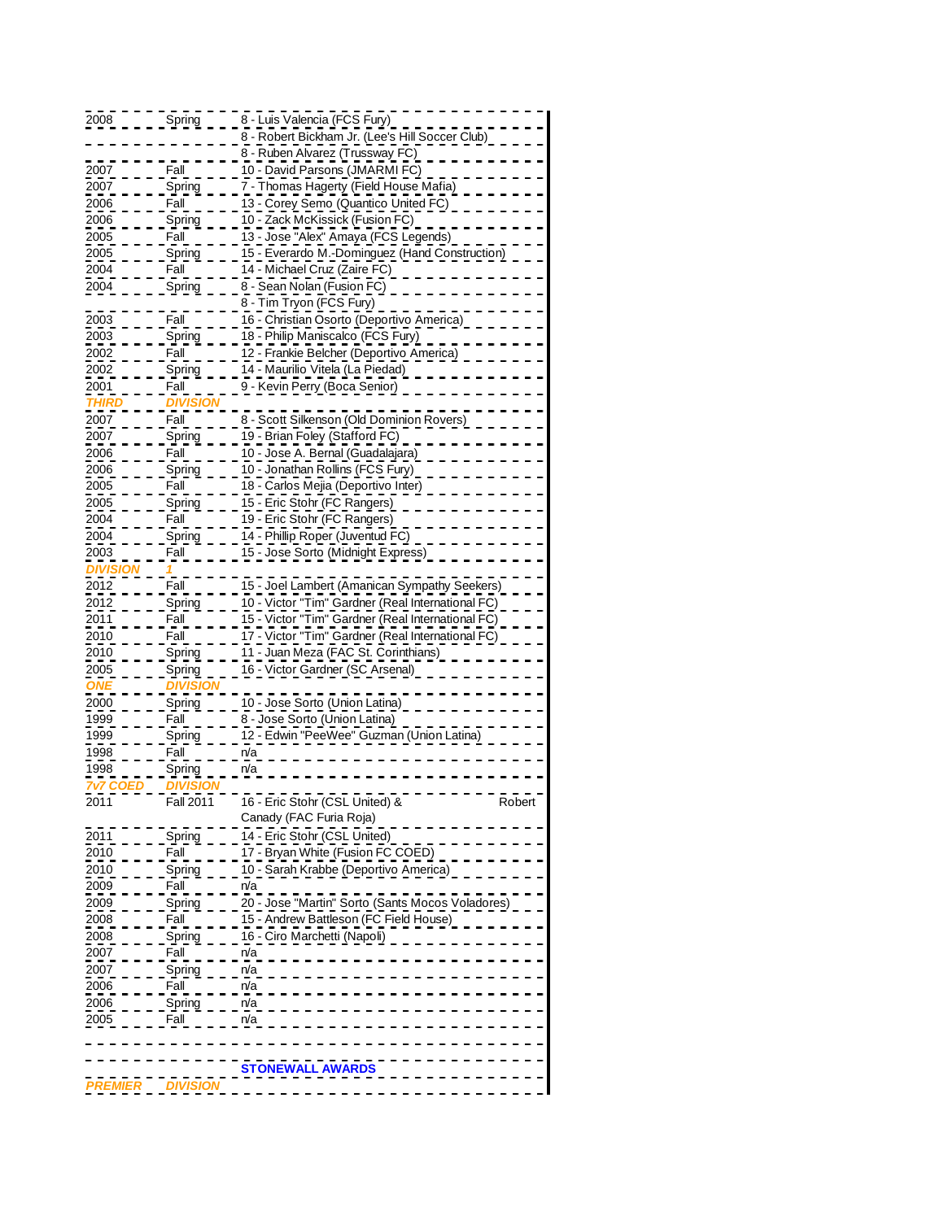| 2008            | Spring           | 8 - Luis Valencia (FCS Fury)                      |
|-----------------|------------------|---------------------------------------------------|
|                 |                  | 8 - Robert Bickham Jr. (Lee's Hill Soccer Club)   |
|                 |                  | 8 - Ruben Alvarez (Trussway FC)                   |
|                 |                  |                                                   |
| 2007            | Fall             | 10 - David Parsons (JMARMI FC)                    |
| 2007            | Spring           | 7 - Thomas Hagerty (Field House Mafia)            |
| 2006            | Fall             | 13 - Corey Semo (Quantico United FC)              |
| 2006            | Spring           | 10 - Zack McKissick (Fusion FC)                   |
| 2005            | Fall             | 13 - Jose "Alex" Amaya (FCS Legends)              |
| 2005            | Spring           | 15 - Everardo M.-Dominguez (Hand Construction)    |
| 2004            | Fall             | 14 - Michael Cruz (Zaire FC)                      |
| 2004            | Spring           | 8 - Sean Nolan (Fusion FC)                        |
|                 |                  | 8 - Tim Tryon (FCS Fury)                          |
| 2003            | Fall             | 16 - Christian Osorto (Deportivo America)         |
| 2003            | Spring           | 18 - Philip Maniscalco (FCS Fury)                 |
| 2002            | Fall             | 12 - Frankie Belcher (Deportivo America)          |
| 2002            | Spring           | 14 - Maurilio Vitela (La Piedad)                  |
| 2001            | Fall             | 9 - Kevin Perry (Boca Senior)                     |
|                 |                  |                                                   |
| <b>THIRI</b>    | <u>DIVISI </u>   |                                                   |
| 2007            | Fall             | 8 - Scott Silkenson (Old Dominion Rovers)         |
| 2007            | Spring           | 19 - Brian Foley (Stafford FC)                    |
| 2006            | Fall             | 10 - Jose A. Bernal (Guadalajara)                 |
| 2006            | Spring           | 10 - Jonathan Rollins (FCS Fury)                  |
| 2005            | Fall             | 18 - Carlos Mejia (Deportivo Inter)               |
| 2005            | Spring           | 15 - Eric Stohr (FC Rangers)                      |
| 2004            | Fall             | 19 - Eric Stohr (FC Rangers)                      |
| 2004            | Spring           | 14 - Phillip Roper (Juventud FC)                  |
| 2003            | Fall             | 15 - Jose Sorto (Midnight Express)                |
| <b>DIVISIO</b>  |                  |                                                   |
| 2012            | Fall             | 15 - Joel Lambert (Amanican Sympathy Seekers)     |
| 2012            | Spring           | 10 - Victor "Tim" Gardner (Real International FC) |
|                 |                  |                                                   |
| 2011            | Fall             | 15 - Victor "Tim" Gardner (Real International FC) |
| 2010            | Fall             | 17 - Victor "Tim" Gardner (Real International FC) |
| 2010            | Spring           | 11 - Juan Meza (FAC St. Corinthians)              |
| 2005            | Spring           | 16 - Victor Gardner (SC Arsenal)                  |
| ONE             | DIVISIC          |                                                   |
| 2000            | Spring           | 10 - Jose Sorto (Union Latina)                    |
| 1999            | Fall             | 8 - Jose Sorto (Union Latina)                     |
| 1999            | Spring           | 12 - Edwin "PeeWee" Guzman (Union Latina)         |
| 1998            | Fall             | n/a                                               |
| 1998            | <u>Spring</u>    | n/a                                               |
| <b>7v7 COED</b> | DIVISION         |                                                   |
| 2011            | <b>Fall 2011</b> | 16 - Eric Stohr (CSL United) &<br>Robert          |
|                 |                  | Canady (FAC Furia Roja)                           |
| 2011            | Spring           | 14 - Eric Stohr (CSL United)                      |
| 2010            | Fall             | 17 - Bryan White (Fusion FC COED)                 |
|                 |                  |                                                   |
| 2010            | Spring           | 10 - Sarah Krabbe (Deportivo America)             |
| 2009            | Fall             | n/a                                               |
| 2009            | Spring           | 20 - Jose "Martin" Sorto (Sants Mocos Voladores)  |
| 2008            | Fall             | 15 - Andrew Battleson (FC Field House)            |
| 2008            | Spring           | 16 - Ciro Marchetti (Napoli)                      |
| 2007            | Fall             | n/a                                               |
| 2007            | Spring           | n/a                                               |
| 2006            | Fall             | n/a                                               |
| 2006            | Spring           | n/a                                               |
| 2005            | Fall             | n/a                                               |
|                 |                  |                                                   |
|                 |                  |                                                   |
|                 |                  | <b>STONEWALL AWARDS</b>                           |
|                 |                  |                                                   |
| PREMIER         | DIVISION         |                                                   |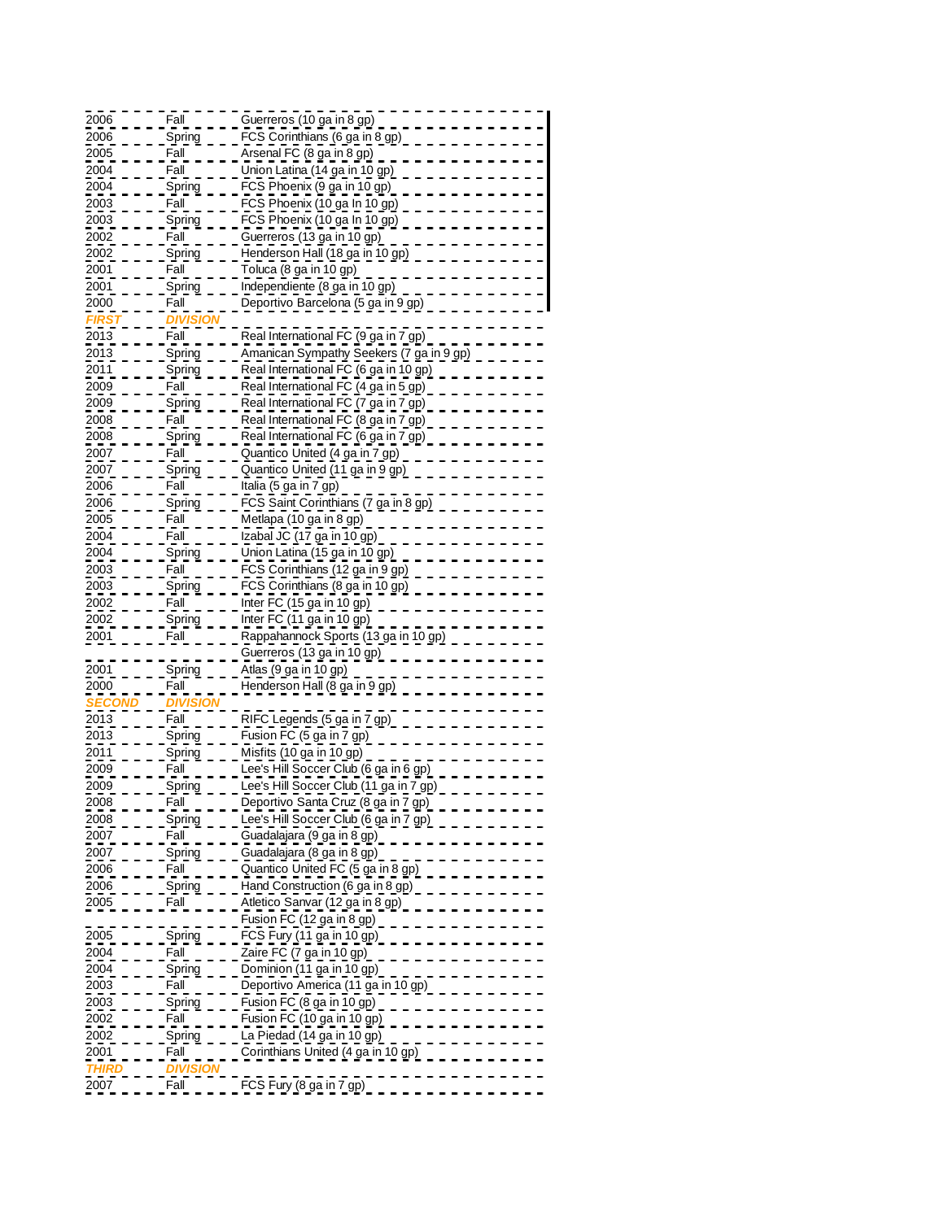| 2006         | Fall                  | Guerreros (10 ga in 8 gp)                             |
|--------------|-----------------------|-------------------------------------------------------|
| 2006         | Spring                | FCS Corinthians (6 ga in 8 gp)                        |
| 2005         | Fall                  | Arsenal FC (8 ga in 8 gp)                             |
| 2004         | Fall                  | Union Latina (14 ga in 10 gp)                         |
| 2004         | Spring                | FCS Phoenix (9 ga in 10 gp)                           |
| 2003         | Fall                  | FCS Phoenix (10 ga In 10 gp)                          |
| 2003         | Spring                | FCS Phoenix (10 ga In 10 gp)                          |
| 2002         | Fall                  | Guerreros (13 ga in 10 gp)                            |
| 2002         | Spring                | Henderson Hall (18 ga in 10 gp)                       |
| 2001         | Fall                  | Toluca (8 ga in 10 gp)                                |
| 2001         | Spring                | Independiente (8 ga in 10 gp)                         |
| 2000         | Fall                  | Deportivo Barcelona (5 ga in 9 gp)                    |
| <b>IRS</b>   | DIMI.                 |                                                       |
| 2013         | Fall                  | Real International FC (9 ga in 7 gp)                  |
| 2013         | <u>Spring</u>         | Amanican Sympathy Seekers (7 ga in 9 gp)              |
| 2011         | Spring                | Real International FC (6 ga in 10 gp)                 |
| 2009         | Fall                  | Real International FC (4 ga in 5 gp)                  |
| 2009         |                       | Real International FC (7 ga in 7 gp)                  |
| 2008         | <u>Spring</u><br>Fall | Real International FC (8 ga in 7 gp)                  |
| 2008         | Spring                | Real International FC (6 ga in 7 gp)                  |
| 2007         | Fall                  | Quantico United (4 ga in 7 gp)                        |
| 2007         |                       | Quantico United (11 ga in 9 gp)                       |
| 2006         | <u>Spring</u><br>Fall | Italia (5 ga in 7 gp)                                 |
| 2006         |                       | FCS Saint Corinthians (7 ga in 8 gp)                  |
| 2005         | Spring<br>Fall        |                                                       |
| 2004         | Fall                  | Metlapa (10 ga in 8 gp)<br>Izabal JC (17 ga in 10 gp) |
| 2004         |                       |                                                       |
|              | Spring                | Union Latina (15 ga in 10 gp)                         |
| 2003         | Fall                  | FCS Corinthians (12 ga in 9 gp)                       |
| 2003<br>2002 | Spring                | FCS Corinthians (8 ga in 10 gp)                       |
|              | Fall                  | Inter FC (15 ga in 10 gp)                             |
| 2002         | Spring<br>Fall        | Inter FC (11 ga in 10 gp)                             |
| 2001         |                       | Rappahannock Sports (13 ga in 10 gp                   |
|              |                       | Guerreros (13 ga in 10 gp)                            |
| 2001<br>2000 | Spring<br>Fall        | Atlas (9 ga in 10 gp)                                 |
|              |                       | Henderson Hall (8 ga in 9 gp)                         |
| EC(          |                       |                                                       |
| 2013         | Fall                  | RIFC Legends (5 ga in 7 gp)                           |
| 2013         | Spring                | Fusion FC (5 ga in 7 gp)                              |
| 2011         | Spring                | Misfits (10 ga in 10 gp)                              |
| 2009         | Fall                  | Lee's Hill Soccer Club (6 ga in 6 gp)                 |
| 2009         | <u>Spring</u>         | Lee's Hill Soccer Club (11 ga in 7 gp)                |
| 2008         | Fall                  | Deportivo Santa Cruz (8 ga in 7 gp)                   |
| 2008         | Spring                | Lee's Hill Soccer Club (6 ga in 7 gp)                 |
| 2007         | Fall                  | Guadalajara (9 ga in 8 gp)                            |
| 2007         | Spring                | Guadalajara (8 ga in 8 gp)                            |
| 2006         | Fall                  | Quantico United FC (5 ga in 8 gp)                     |
| 2006         | <u>Spring</u>         | Hand Construction (6 ga in 8 gp)                      |
| 2005         | Fall                  | Atletico Sanvar (12 ga in 8 gp)                       |
|              |                       | Fusion FC (12 ga in 8 gp)                             |
| 2005         | Spring                | FCS Fury (11 ga in 10 gp)                             |
| 2004         | Fall                  | Zaire FC (7 ga in 10 gp)                              |
| 2004         | Spring                | Dominion (11 ga in 10 gp)                             |
| 2003         | Fall                  | Deportivo America (11 ga in 10 gp)                    |
| 2003         | Spring                | Fusion FC (8 ga in 10 gp)                             |
| 2002         | Fall                  | Fusion FC (10 ga in 10 gp)                            |
| 2002         | Spring                | La Piedad (14 ga in 10 gp)                            |
| 2001         | Fall                  | Corinthians United (4 ga in 10 gp)                    |
| <b>THIR</b>  | <u>DIVISI</u>         |                                                       |
| 2007         | Fall                  | FCS Fury (8 ga in 7 gp)                               |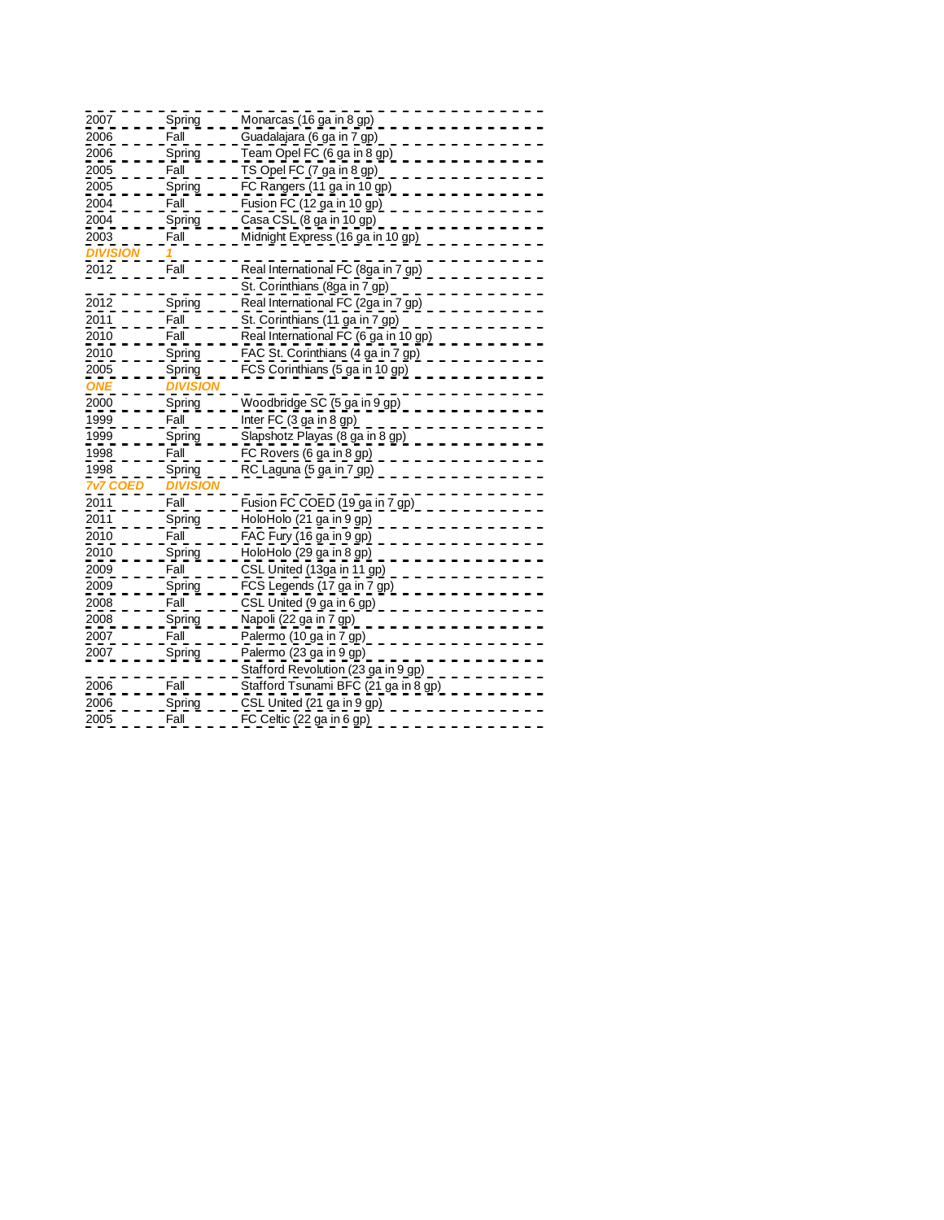| 2007     | Spring         | Monarcas (16 ga in 8 gp)              |
|----------|----------------|---------------------------------------|
| 2006     | Fall           | Guadalajara (6 ga in 7 gp)            |
| 2006     | Spring         | Team Opel FC (6 ga in 8 gp)           |
| 2005     | Fall           | TS Opel FC (7 ga in 8 gp)             |
| 2005     | Spring         | FC Rangers (11 ga in 10 gp)           |
| 2004     | Fall           | Fusion FC (12 ga in 10 gp)            |
| 2004     | Spring         | Casa CSL (8 ga in 10 gp)              |
| 2003     | Fall           | Midnight Express (16 ga in 10 gp)     |
| DIVISION |                |                                       |
| 2012     | Fall           | Real International FC (8ga in 7 gp)   |
|          |                | St. Corinthians (8ga in 7 gp)         |
| 2012     | Spring         | Real International FC (2ga in 7 gp)   |
| 2011     | Fall           | St. Corinthians (11 ga in 7 gp)       |
| 2010     | Fall           | Real International FC (6 ga in 10 gp) |
| 2010     | Spring         | FAC St. Corinthians (4 ga in 7 gp)    |
| 2005     | Spring         | FCS Corinthians (5 ga in 10 gp)       |
| ΝE       | DIVISIC        |                                       |
| 2000     | Spring         | <u>Woodbridge SC (5 ga in 9 gp)</u>   |
| 1999     | Fall           | Inter FC (3 ga in 8 gp)               |
| 1999     | Spring         | Slapshotz Playas (8 ga in 8 gp)       |
| 1998     | Fall           | FC Rovers (6 ga in 8 gp)              |
| 1998     | Spring         | RC Laguna (5 ga in 7 gp)              |
| 7v7 CO   | <b>DIVISIC</b> |                                       |
| 2011     | Fall           | Fusion FC COED (19 ga in 7 gp)        |
| 2011     | Spring         | HoloHolo (21 ga in 9 gp)              |
| 2010     | Fall           | FAC Fury (16 ga in 9 gp)              |
| 2010     | Spring         | HoloHolo (29 ga in 8 gp)              |
| 2009     | Fall           | CSL United (13ga in 11 gp)            |
| 2009     | Spring         | FCS Legends (17 ga in 7 gp)           |
| 2008     | Fall           | CSL United (9 ga in 6 gp)             |
| 2008     | Spring         | Napoli (22 ga in 7 gp)                |
| 2007     | Fall           | Palermo (10 ga in 7 gp)               |
| 2007     | Spring         | Palermo (23 ga in 9 gp)               |
|          |                | Stafford Revolution (23 ga in 9 gp)   |
| 2006     | Fall           | Stafford Tsunami BFC (21 ga in 8 gp)  |
| 2006     | Spring         | CSL United (21 ga in 9 gp)            |
| 2005     | Fall           | FC Celtic (22 ga in 6 gp)             |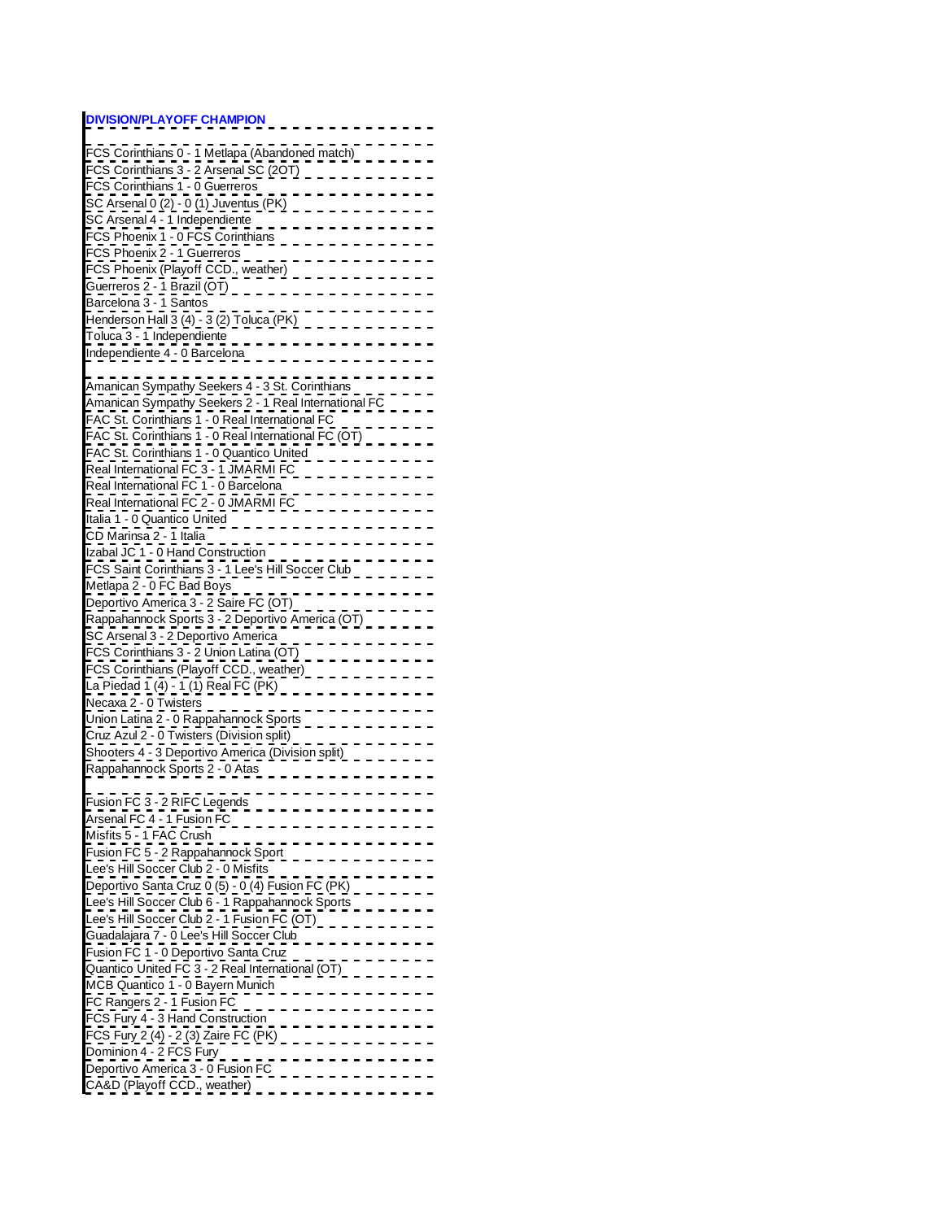## **DIVISION/PLAYOFF CHAMPION**

| FCS Corinthians 0 - 1 Metlapa (Abandoned match)       |
|-------------------------------------------------------|
| FCS Corinthians 3 - 2 Arsenal SC (20T)                |
| FCS Corinthians 1 - 0 Guerreros                       |
| SC Arsenal 0 (2) - 0 (1) Juventus (PK)                |
| SC Arsenal 4 - 1 Independiente                        |
| FCS Phoenix 1 - 0 FCS Corinthians                     |
|                                                       |
| FCS Phoenix 2 - 1 Guerreros                           |
| FCS Phoenix (Playoff CCD., weather)                   |
| Guerreros 2 - 1 Brazil (OT)<br>Barcelona 3 - 1 Santos |
|                                                       |
| Henderson Hall 3 (4) - 3 (2) Toluca (PK)              |
| Toluca 3 - 1 Independiente                            |
| Independiente 4 - 0 Barcelona                         |
|                                                       |
| Amanican Sympathy Seekers 4 - 3 St. Corinthians       |
| Amanican Sympathy Seekers 2 - 1 Real International FC |
|                                                       |
| FAC St. Corinthians 1 - 0 Real International FC       |
| FAC St. Corinthians 1 - 0 Real International FC (OT)  |
| FAC St. Corinthians 1 - 0 Quantico United             |
| Real International FC 3 - 1 JMARMI FC                 |
| Real International FC 1 - 0 Barcelona                 |
| Real International FC 2 - 0 JMARMI FC                 |
| Italia 1 - 0 Quantico United                          |
| CD Marinsa 2 - 1 Italia                               |
| Izabal JC 1 - 0 Hand Construction                     |
| FCS Saint Corinthians 3 - 1 Lee's Hill Soccer Club    |
|                                                       |
| Metlapa 2 - 0 FC Bad Boys                             |
| Deportivo America 3 - 2 Saire FC (OT)                 |
| Rappahannock Sports 3 - 2 Deportivo America (OT)      |
| SC Arsenal 3 - 2 Deportivo America                    |
| FCS Corinthians 3 - 2 Union Latina (OT)               |
| FCS Corinthians (Playoff CCD., weather)               |
| <u>La Piedad 1 (4) - 1 (1) Real FC (PK)</u>           |
| Necaxa 2 - 0 Twisters                                 |
| Union Latina 2 - 0 Rappahannock Sports                |
| Cruz Azul 2 - 0 Twisters (Division split)             |
|                                                       |
| Shooters 4 - 3 Deportivo America (Division split)     |
| Rappahannock Sports 2 - 0 Atas                        |
|                                                       |
| Fusion FC 3 - 2 RIFC Legends                          |
| Arsenal FC 4 - 1 Fusion FC                            |
| Misfits 5 - 1 FAC Crush                               |
| Fusion FC 5 - 2 Rappahannock Sport                    |
| Lee's Hill Soccer Club 2 - 0 Misfits                  |
| Deportivo Santa Cruz 0 (5) - 0 (4) Fusion FC (PK)     |
| Lee's Hill Soccer Club 6 - 1 Rappahannock Sports      |
|                                                       |
| Lee's Hill Soccer Club 2 - 1 Fusion FC (OT)           |
| Guadalajara 7 - 0 Lee's Hill Soccer Club              |
| <u> Fusion FC 1 - 0 Deportivo Santa Cruz</u>          |
| Quantico United FC 3 - 2 Real International (OT)      |
| MCB Quantico 1 - 0 Bayern Munich                      |
| FC Rangers 2 - 1 Fusion FC                            |
| FCS Fury 4 - 3 Hand Construction                      |
| <u>FCS Fury 2 (4) - 2 (3) Zaire FC (PK)</u>           |
| Dominion 4 - 2 FCS Fury                               |
| Deportivo America 3 - 0 Fusion FC                     |
|                                                       |
| CA&D (Playoff CCD., weather)                          |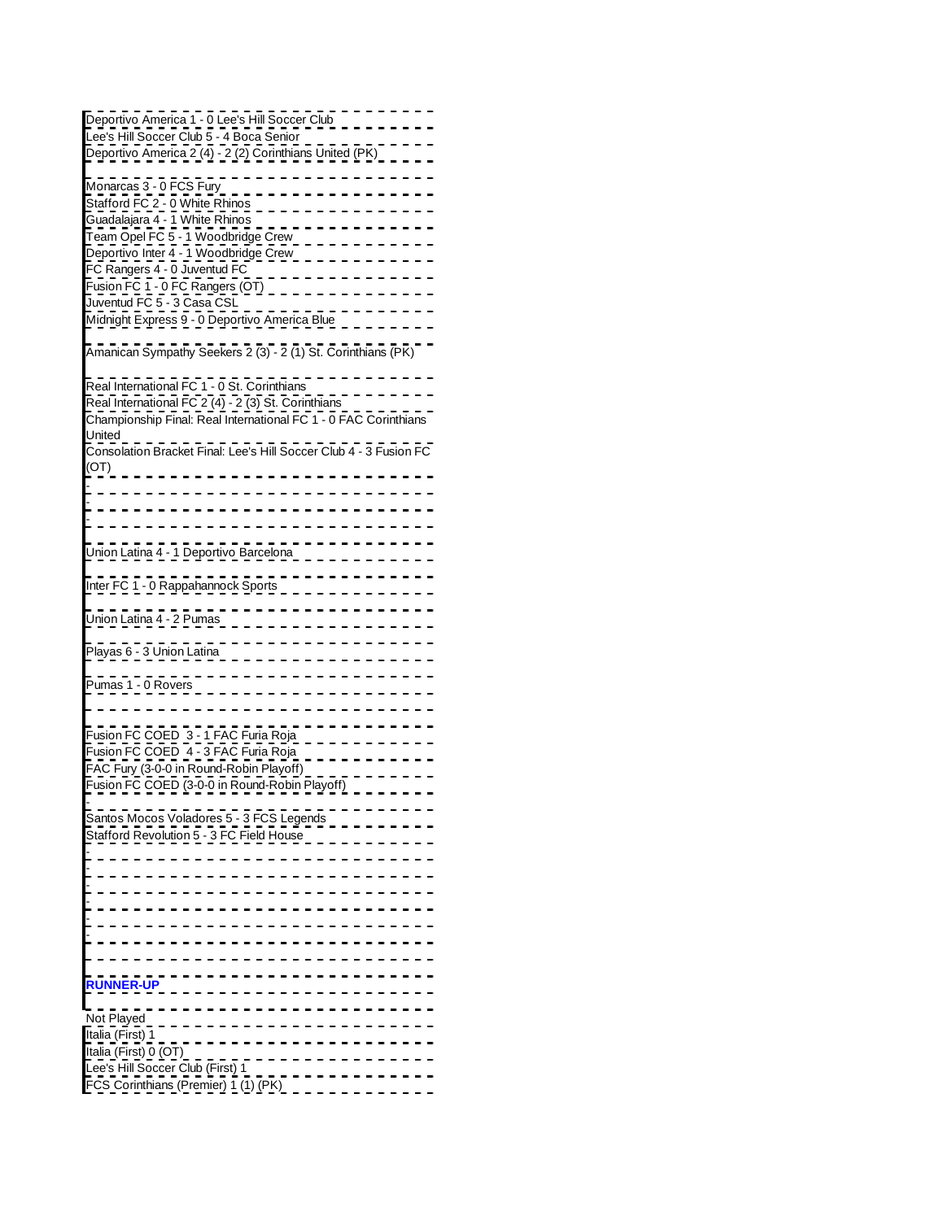| Deportivo America 1 - 0 Lee's Hill Soccer Club<br>Lee's Hill Soccer Club 5 - 4 Boca Senior                                       |
|----------------------------------------------------------------------------------------------------------------------------------|
| Deportivo America 2 (4) - 2 (2) Corinthians United (PK)                                                                          |
| Monarcas 3 - 0 FCS Fury<br>Stafford FC 2 - 0 White Rhinos                                                                        |
| Guadalajara 4 - 1 White Rhinos<br><u>Team Opel FC 5 - 1 Woodbridge Crew</u>                                                      |
| Deportivo Inter 4 - 1 Woodbridge Crew<br>FC Rangers 4 - 0 Juventud FC _ _ _ _                                                    |
| Fusion FC 1 - 0 FC Rangers (OT)<br>Juventud FC 5 - 3 Casa CSL<br>Midnight Express 9 - 0 Deportivo America Blue                   |
| Amanican Sympathy Seekers 2 (3) - 2 (1) St. Corinthians (PK)                                                                     |
| Real International FC 1 - 0 St. Corinthians                                                                                      |
| Real International FC 2 (4) - 2 (3) St. Corinthians<br>Championship Final: Real International FC 1 - 0 FAC Corinthians<br>United |
| Consolation Bracket Final: Lee's Hill Soccer Club 4 - 3 Fusion FC<br>(OT)                                                        |
|                                                                                                                                  |
|                                                                                                                                  |
| Union Latina 4 - 1 Deportivo Barcelona                                                                                           |
| Inter FC 1 - 0 Rappahannock Sports                                                                                               |
| Union Latina 4 - 2 Pumas                                                                                                         |
| Playas 6 - 3 Union Latina                                                                                                        |
| Pumas 1 - 0 Rovers                                                                                                               |
| Fusion FC COED 3 - 1 FAC Furia Roja<br>Fusion FC COED 4 - 3 FAC Furia Roja                                                       |
| FAC Fury (3-0-0 in Round-Robin Playoff)                                                                                          |
| Fusion FC COED (3-0-0 in Round-Robin Playoff)                                                                                    |
| Santos Mocos Voladores 5 - 3 FCS Legends<br>Stafford Revolution 5 - 3 FC Field House                                             |
|                                                                                                                                  |
|                                                                                                                                  |
|                                                                                                                                  |
|                                                                                                                                  |
| <b>RUNNER-UP</b>                                                                                                                 |
| Not Played<br>Italia (First) 1                                                                                                   |
| Italia (First) 0 (OT)<br>Lee's Hill Soccer Club (First) 1                                                                        |
| FCS Corinthians (Premier) 1 (1) (PK)                                                                                             |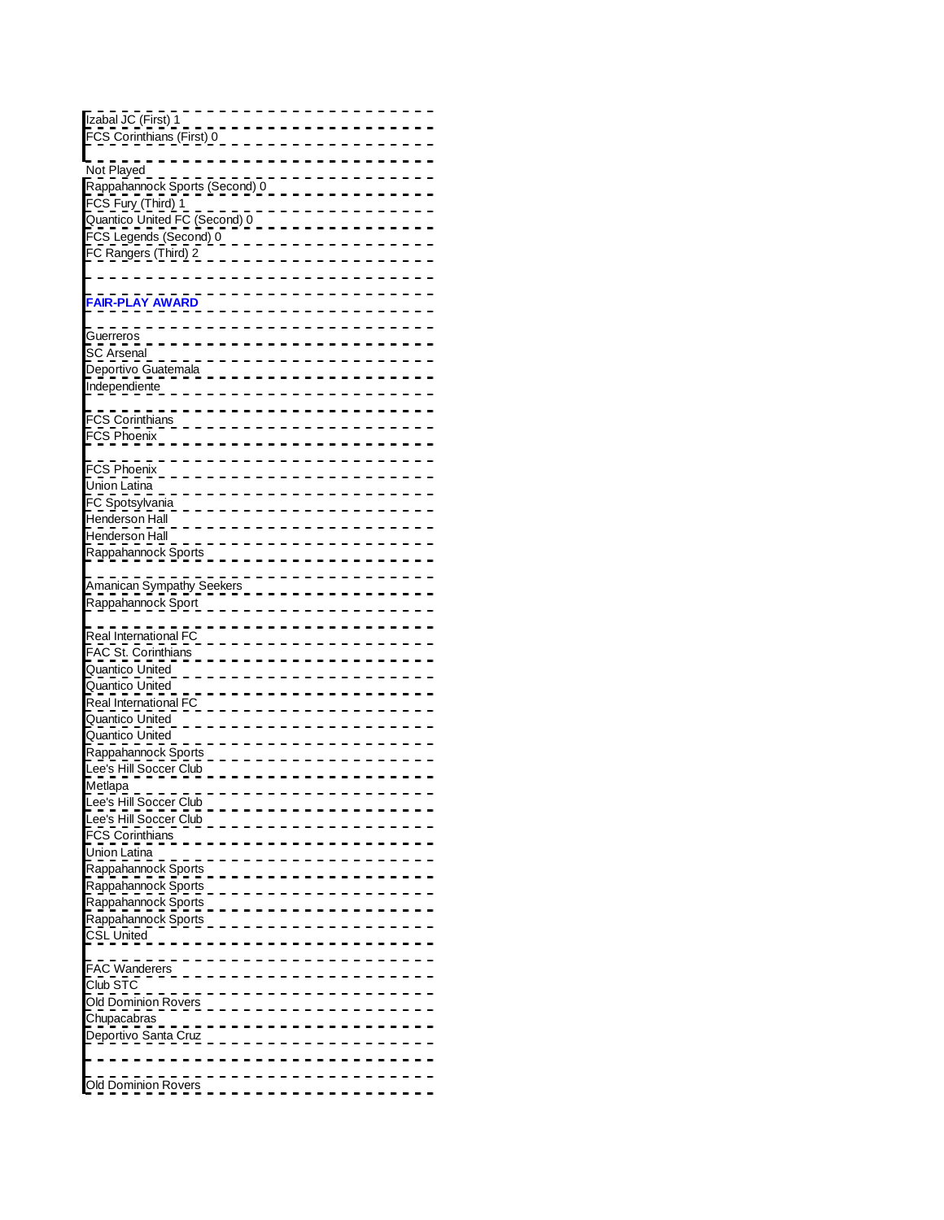| Izabal JC (First) 1            |  |  |  |  |  |  |  |  |  |  |  |
|--------------------------------|--|--|--|--|--|--|--|--|--|--|--|
| FCS Corinthians (First) 0      |  |  |  |  |  |  |  |  |  |  |  |
|                                |  |  |  |  |  |  |  |  |  |  |  |
|                                |  |  |  |  |  |  |  |  |  |  |  |
| Not Played                     |  |  |  |  |  |  |  |  |  |  |  |
| Rappahannock Sports (Second) 0 |  |  |  |  |  |  |  |  |  |  |  |
|                                |  |  |  |  |  |  |  |  |  |  |  |
| FCS Fury (Third) 1             |  |  |  |  |  |  |  |  |  |  |  |
| Quantico United FC (Second) 0  |  |  |  |  |  |  |  |  |  |  |  |
|                                |  |  |  |  |  |  |  |  |  |  |  |
| FCS Legends (Second) 0         |  |  |  |  |  |  |  |  |  |  |  |
| FC Rangers (Third) 2           |  |  |  |  |  |  |  |  |  |  |  |
|                                |  |  |  |  |  |  |  |  |  |  |  |
|                                |  |  |  |  |  |  |  |  |  |  |  |
|                                |  |  |  |  |  |  |  |  |  |  |  |
| <b>FAIR-PLAY AWARD</b>         |  |  |  |  |  |  |  |  |  |  |  |
|                                |  |  |  |  |  |  |  |  |  |  |  |
|                                |  |  |  |  |  |  |  |  |  |  |  |
|                                |  |  |  |  |  |  |  |  |  |  |  |
| Guerreros                      |  |  |  |  |  |  |  |  |  |  |  |
| <b>SC Arsenal</b>              |  |  |  |  |  |  |  |  |  |  |  |
| Deportivo Guatemala            |  |  |  |  |  |  |  |  |  |  |  |
|                                |  |  |  |  |  |  |  |  |  |  |  |
| Independiente                  |  |  |  |  |  |  |  |  |  |  |  |
|                                |  |  |  |  |  |  |  |  |  |  |  |
|                                |  |  |  |  |  |  |  |  |  |  |  |
| <b>FCS Corinthians</b>         |  |  |  |  |  |  |  |  |  |  |  |
| FCS Phoenix                    |  |  |  |  |  |  |  |  |  |  |  |
|                                |  |  |  |  |  |  |  |  |  |  |  |
|                                |  |  |  |  |  |  |  |  |  |  |  |
| FCS Phoenix                    |  |  |  |  |  |  |  |  |  |  |  |
|                                |  |  |  |  |  |  |  |  |  |  |  |
| Union Latina                   |  |  |  |  |  |  |  |  |  |  |  |
| FC Spotsylvania                |  |  |  |  |  |  |  |  |  |  |  |
|                                |  |  |  |  |  |  |  |  |  |  |  |
| Henderson Hall                 |  |  |  |  |  |  |  |  |  |  |  |
| Henderson Hall                 |  |  |  |  |  |  |  |  |  |  |  |
|                                |  |  |  |  |  |  |  |  |  |  |  |
| Rappahannock Sports            |  |  |  |  |  |  |  |  |  |  |  |
|                                |  |  |  |  |  |  |  |  |  |  |  |
|                                |  |  |  |  |  |  |  |  |  |  |  |
| Amanican Sympathy Seekers      |  |  |  |  |  |  |  |  |  |  |  |
| Rappahannock Sport             |  |  |  |  |  |  |  |  |  |  |  |
|                                |  |  |  |  |  |  |  |  |  |  |  |
|                                |  |  |  |  |  |  |  |  |  |  |  |
| Real International FC          |  |  |  |  |  |  |  |  |  |  |  |
|                                |  |  |  |  |  |  |  |  |  |  |  |
|                                |  |  |  |  |  |  |  |  |  |  |  |
| FAC St. Corinthians            |  |  |  |  |  |  |  |  |  |  |  |
|                                |  |  |  |  |  |  |  |  |  |  |  |
| Quantico United                |  |  |  |  |  |  |  |  |  |  |  |
| Quantico United                |  |  |  |  |  |  |  |  |  |  |  |
| Real International FC          |  |  |  |  |  |  |  |  |  |  |  |
|                                |  |  |  |  |  |  |  |  |  |  |  |
| Quantico United                |  |  |  |  |  |  |  |  |  |  |  |
| Quantico United                |  |  |  |  |  |  |  |  |  |  |  |
|                                |  |  |  |  |  |  |  |  |  |  |  |
| Rappahannock Sports            |  |  |  |  |  |  |  |  |  |  |  |
| Lee's Hill Soccer Club         |  |  |  |  |  |  |  |  |  |  |  |
|                                |  |  |  |  |  |  |  |  |  |  |  |
| Metlapa                        |  |  |  |  |  |  |  |  |  |  |  |
| Lee's Hill Soccer Club         |  |  |  |  |  |  |  |  |  |  |  |
|                                |  |  |  |  |  |  |  |  |  |  |  |
| Lee's Hill Soccer Club         |  |  |  |  |  |  |  |  |  |  |  |
| <b>FCS Corinthians</b>         |  |  |  |  |  |  |  |  |  |  |  |
| Union Latina                   |  |  |  |  |  |  |  |  |  |  |  |
|                                |  |  |  |  |  |  |  |  |  |  |  |
| Rappahannock Sports            |  |  |  |  |  |  |  |  |  |  |  |
| Rappahannock Sports            |  |  |  |  |  |  |  |  |  |  |  |
|                                |  |  |  |  |  |  |  |  |  |  |  |
| Rappahannock Sports            |  |  |  |  |  |  |  |  |  |  |  |
| Rappahannock Sports            |  |  |  |  |  |  |  |  |  |  |  |
|                                |  |  |  |  |  |  |  |  |  |  |  |
| <b>CSL United</b>              |  |  |  |  |  |  |  |  |  |  |  |
|                                |  |  |  |  |  |  |  |  |  |  |  |
|                                |  |  |  |  |  |  |  |  |  |  |  |
| <b>FAC Wanderers</b>           |  |  |  |  |  |  |  |  |  |  |  |
| Club STC                       |  |  |  |  |  |  |  |  |  |  |  |
|                                |  |  |  |  |  |  |  |  |  |  |  |
| <b>Old Dominion Rovers</b>     |  |  |  |  |  |  |  |  |  |  |  |
| Chupacabras                    |  |  |  |  |  |  |  |  |  |  |  |
|                                |  |  |  |  |  |  |  |  |  |  |  |
| Deportivo Santa Cruz           |  |  |  |  |  |  |  |  |  |  |  |
|                                |  |  |  |  |  |  |  |  |  |  |  |
|                                |  |  |  |  |  |  |  |  |  |  |  |
| Old Dominion Rovers            |  |  |  |  |  |  |  |  |  |  |  |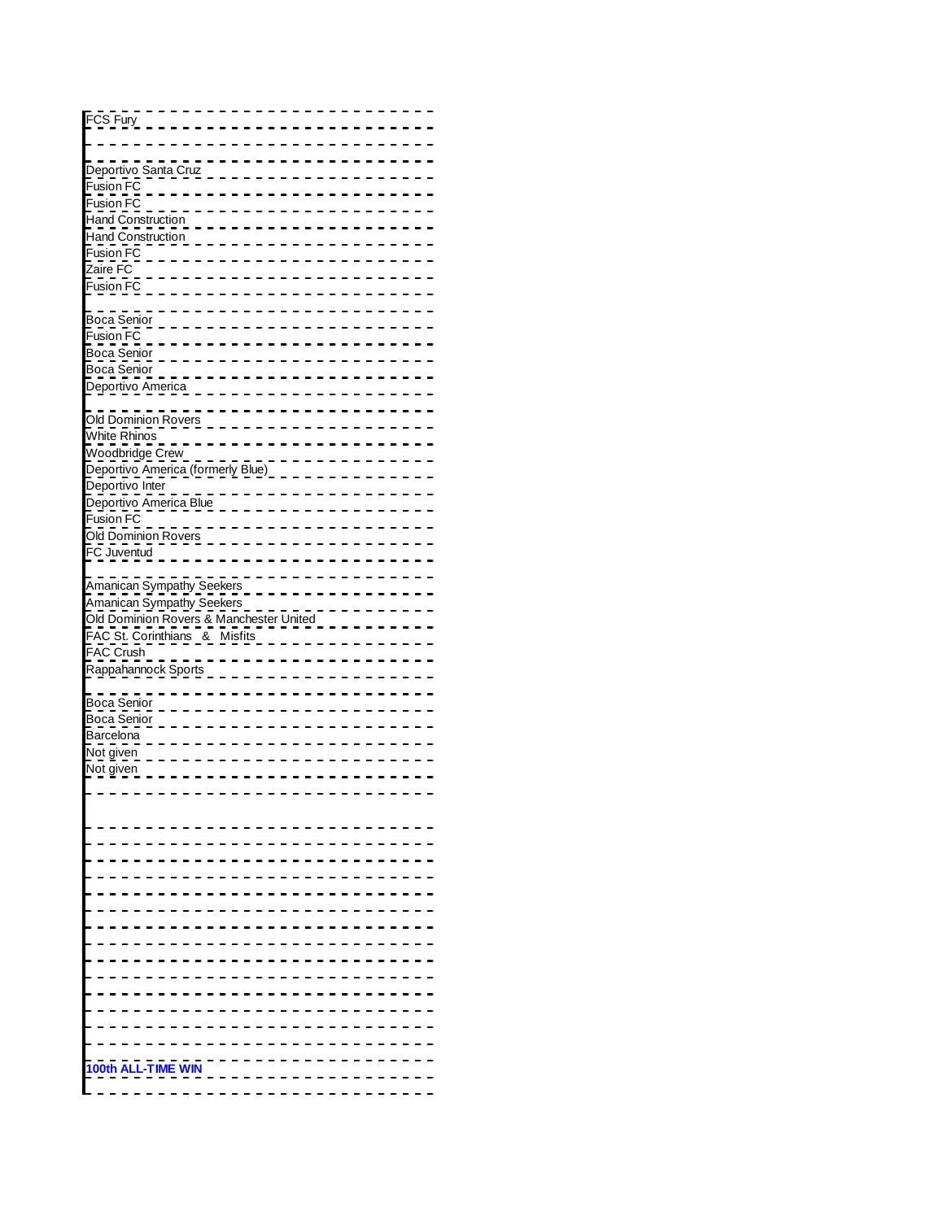| FCS Fury                                |  |  |                     |  |                           |  |  |  |  |  |  |  |  |  |
|-----------------------------------------|--|--|---------------------|--|---------------------------|--|--|--|--|--|--|--|--|--|
|                                         |  |  |                     |  |                           |  |  |  |  |  |  |  |  |  |
|                                         |  |  |                     |  |                           |  |  |  |  |  |  |  |  |  |
|                                         |  |  |                     |  |                           |  |  |  |  |  |  |  |  |  |
| Deportivo Santa Cruz                    |  |  |                     |  |                           |  |  |  |  |  |  |  |  |  |
| Fusion FC                               |  |  |                     |  |                           |  |  |  |  |  |  |  |  |  |
|                                         |  |  |                     |  |                           |  |  |  |  |  |  |  |  |  |
| Fusion FC                               |  |  |                     |  |                           |  |  |  |  |  |  |  |  |  |
| Hand Construction                       |  |  |                     |  |                           |  |  |  |  |  |  |  |  |  |
| <b>Hand Construction</b>                |  |  |                     |  |                           |  |  |  |  |  |  |  |  |  |
|                                         |  |  |                     |  |                           |  |  |  |  |  |  |  |  |  |
| Fusion FC                               |  |  |                     |  |                           |  |  |  |  |  |  |  |  |  |
| Zaire FC                                |  |  |                     |  |                           |  |  |  |  |  |  |  |  |  |
| Fusion FC                               |  |  |                     |  |                           |  |  |  |  |  |  |  |  |  |
|                                         |  |  |                     |  |                           |  |  |  |  |  |  |  |  |  |
|                                         |  |  |                     |  |                           |  |  |  |  |  |  |  |  |  |
| Boca Senior                             |  |  |                     |  |                           |  |  |  |  |  |  |  |  |  |
| Fusion FC                               |  |  |                     |  |                           |  |  |  |  |  |  |  |  |  |
|                                         |  |  |                     |  |                           |  |  |  |  |  |  |  |  |  |
| Boca Senior                             |  |  |                     |  |                           |  |  |  |  |  |  |  |  |  |
| Boca Senior                             |  |  |                     |  |                           |  |  |  |  |  |  |  |  |  |
| Deportivo America                       |  |  |                     |  |                           |  |  |  |  |  |  |  |  |  |
|                                         |  |  |                     |  |                           |  |  |  |  |  |  |  |  |  |
|                                         |  |  |                     |  |                           |  |  |  |  |  |  |  |  |  |
| Old Dominion Rovers                     |  |  |                     |  |                           |  |  |  |  |  |  |  |  |  |
| White Rhinos                            |  |  |                     |  |                           |  |  |  |  |  |  |  |  |  |
| Woodbridge Crew                         |  |  |                     |  |                           |  |  |  |  |  |  |  |  |  |
|                                         |  |  |                     |  |                           |  |  |  |  |  |  |  |  |  |
| Deportivo America (formerly Blue)       |  |  |                     |  |                           |  |  |  |  |  |  |  |  |  |
| Deportivo Inter                         |  |  |                     |  |                           |  |  |  |  |  |  |  |  |  |
| Deportivo America Blue                  |  |  |                     |  |                           |  |  |  |  |  |  |  |  |  |
|                                         |  |  |                     |  |                           |  |  |  |  |  |  |  |  |  |
| Fusion FC                               |  |  |                     |  |                           |  |  |  |  |  |  |  |  |  |
| Old Dominion Rovers                     |  |  |                     |  |                           |  |  |  |  |  |  |  |  |  |
| FC Juventud                             |  |  |                     |  |                           |  |  |  |  |  |  |  |  |  |
|                                         |  |  |                     |  |                           |  |  |  |  |  |  |  |  |  |
|                                         |  |  |                     |  |                           |  |  |  |  |  |  |  |  |  |
| Amanican Sympathy Seekers               |  |  |                     |  |                           |  |  |  |  |  |  |  |  |  |
|                                         |  |  |                     |  |                           |  |  |  |  |  |  |  |  |  |
|                                         |  |  |                     |  |                           |  |  |  |  |  |  |  |  |  |
|                                         |  |  |                     |  | Amanican Sympathy Seekers |  |  |  |  |  |  |  |  |  |
| Old Dominion Rovers & Manchester United |  |  |                     |  |                           |  |  |  |  |  |  |  |  |  |
| FAC St. Corinthians & Misfits           |  |  |                     |  |                           |  |  |  |  |  |  |  |  |  |
|                                         |  |  |                     |  |                           |  |  |  |  |  |  |  |  |  |
| FAC Crush                               |  |  |                     |  |                           |  |  |  |  |  |  |  |  |  |
| Rappahannock Sports                     |  |  |                     |  |                           |  |  |  |  |  |  |  |  |  |
|                                         |  |  |                     |  |                           |  |  |  |  |  |  |  |  |  |
|                                         |  |  |                     |  |                           |  |  |  |  |  |  |  |  |  |
| Boca Senior                             |  |  |                     |  |                           |  |  |  |  |  |  |  |  |  |
| Boca Senior                             |  |  |                     |  |                           |  |  |  |  |  |  |  |  |  |
| Barcelona                               |  |  |                     |  |                           |  |  |  |  |  |  |  |  |  |
| Not given                               |  |  |                     |  |                           |  |  |  |  |  |  |  |  |  |
|                                         |  |  |                     |  |                           |  |  |  |  |  |  |  |  |  |
| Not given                               |  |  |                     |  |                           |  |  |  |  |  |  |  |  |  |
|                                         |  |  |                     |  |                           |  |  |  |  |  |  |  |  |  |
|                                         |  |  |                     |  |                           |  |  |  |  |  |  |  |  |  |
|                                         |  |  |                     |  |                           |  |  |  |  |  |  |  |  |  |
|                                         |  |  |                     |  |                           |  |  |  |  |  |  |  |  |  |
|                                         |  |  |                     |  |                           |  |  |  |  |  |  |  |  |  |
|                                         |  |  |                     |  |                           |  |  |  |  |  |  |  |  |  |
|                                         |  |  |                     |  |                           |  |  |  |  |  |  |  |  |  |
|                                         |  |  |                     |  |                           |  |  |  |  |  |  |  |  |  |
|                                         |  |  |                     |  |                           |  |  |  |  |  |  |  |  |  |
|                                         |  |  |                     |  |                           |  |  |  |  |  |  |  |  |  |
|                                         |  |  |                     |  |                           |  |  |  |  |  |  |  |  |  |
|                                         |  |  |                     |  |                           |  |  |  |  |  |  |  |  |  |
|                                         |  |  |                     |  |                           |  |  |  |  |  |  |  |  |  |
|                                         |  |  |                     |  |                           |  |  |  |  |  |  |  |  |  |
|                                         |  |  |                     |  |                           |  |  |  |  |  |  |  |  |  |
|                                         |  |  |                     |  |                           |  |  |  |  |  |  |  |  |  |
|                                         |  |  |                     |  |                           |  |  |  |  |  |  |  |  |  |
|                                         |  |  |                     |  |                           |  |  |  |  |  |  |  |  |  |
|                                         |  |  |                     |  |                           |  |  |  |  |  |  |  |  |  |
|                                         |  |  |                     |  |                           |  |  |  |  |  |  |  |  |  |
|                                         |  |  |                     |  |                           |  |  |  |  |  |  |  |  |  |
|                                         |  |  |                     |  |                           |  |  |  |  |  |  |  |  |  |
| 100th                                   |  |  | <b>ALL-TIME WIN</b> |  |                           |  |  |  |  |  |  |  |  |  |
|                                         |  |  |                     |  |                           |  |  |  |  |  |  |  |  |  |